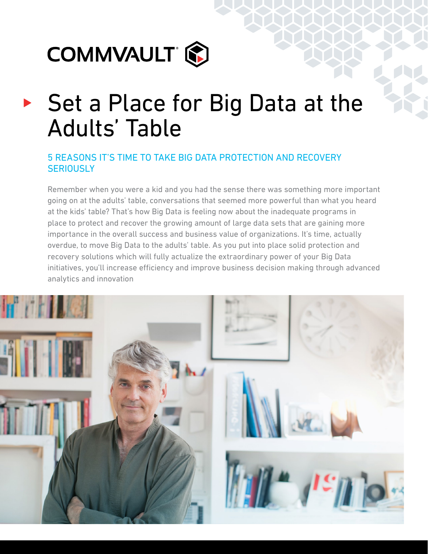

# ▶ Set a Place for Big Data at the Adults' Table

## 5 REASONS IT'S TIME TO TAKE BIG DATA PROTECTION AND RECOVERY **SERIOUSLY**

Remember when you were a kid and you had the sense there was something more important going on at the adults' table, conversations that seemed more powerful than what you heard at the kids' table? That's how Big Data is feeling now about the inadequate programs in place to protect and recover the growing amount of large data sets that are gaining more importance in the overall success and business value of organizations. It's time, actually overdue, to move Big Data to the adults' table. As you put into place solid protection and recovery solutions which will fully actualize the extraordinary power of your Big Data initiatives, you'll increase efficiency and improve business decision making through advanced analytics and innovation

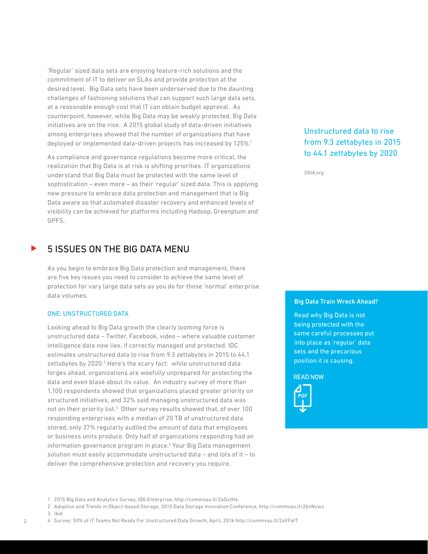'Regular' sized data sets are enjoying feature-rich solutions and the commitment of IT to deliver on SLAs and provide protection at the desired level. Big Data sets have been underserved due to the daunting challenges of fashioning solutions that can support such large data sets, at a reasonable enough cost that IT can obtain budget approval. As counterpoint, however, while Big Data may be weakly protected, Big Data initiatives are on the rise. A 2015 global study of data-driven initiatives among enterprises showed that the number of organizations that have deployed or implemented data-driven projects has increased by 125%.<sup>1</sup>

As compliance and governance regulations become more critical, the realization that Big Data is at risk is shifting priorities. IT organizations understand that Big Data must be protected with the same level of sophistication – even more – as their 'regular' sized data. This is applying new pressure to embrace data protection and management that is Big Data aware so that automated disaster recovery and enhanced levels of visibility can be achieved for platforms including Hadoop, Greenplum and GPFS.

## 5 ISSUES ON THE BIG DATA MENU

As you begin to embrace Big Data protection and management, there are five key issues you need to consider to achieve the same level of protection for vary large data sets as you do for those 'normal' enterprise data volumes.

#### ONE: UNSTRUCTURED DATA

Looking ahead to Big Data growth the clearly looming force is unstructured data – Twitter, Facebook, video – where valuable customer intelligence data now lies, if correctly managed and protected. IDC estimates unstructured data to rise from 9.3 zettabytes in 2015 to 44.1 zettabytes by 2020.<sup>2</sup> Here's the scary fact: while unstructured data forges ahead, organizations are woefully unprepared for protecting the data and even blasé about its value. An industry survey of more than 1,100 respondents showed that organizations placed greater priority on structured initiatives, and 32% said managing unstructured data was not on their priority list.<sup>3</sup> Other survey results showed that, of over 100 responding enterprises with a median of 20 TB of unstructured data stored, only 37% regularly audited the amount of data that employees or business units produce. Only half of organizations responding had an information governance program in place.<sup>4</sup> Your Big Data management solution must easily accommodate unstructured data – and lots of it – to deliver the comprehensive protection and recovery you require.

## Unstructured data to rise from 9.3 zettabytes in 2015 to 44.1 zettabytes by 2020

*SNIA.org*

#### Big Data Train Wreck Ahead!i

Read why Big Data is not being protected with the same careful processes put into place as 'regular' data sets and the precarious position it is causing.

**READ NOW** 



<sup>1 2015</sup> Big Data and Analytics Survey, IDG Enterprise, http://commvau.lt/2aGvtH4

<sup>2</sup> Adoption and Trends in Object-based Storage, 2015 Data Storage Innovation Conference, http://commvau.lt/2bnNvwz

<sup>3</sup> ibid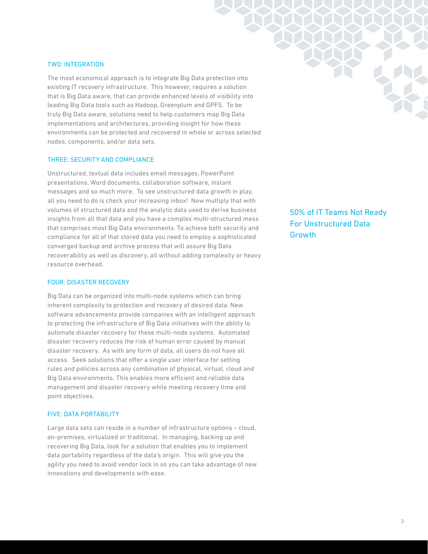#### TWO: INTEGRATION

The most economical approach is to integrate Big Data protection into existing IT recovery infrastructure. This however, requires a solution that is Big Data aware, that can provide enhanced levels of visibility into leading Big Data tools such as Hadoop, Greenplum and GPFS. To be truly Big Data aware, solutions need to help customers map Big Data implementations and architectures, providing insight for how these environments can be protected and recovered in whole or across selected nodes, components, and/or data sets.

#### THREE: SECURITY AND COMPLIANCE

Unstructured, textual data includes email messages, PowerPoint presentations, Word documents, collaboration software, instant messages and so much more. To see unstructured data growth in play, all you need to do is check your increasing inbox! Now multiply that with volumes of structured data and the analytic data used to derive business insights from all that data and you have a complex multi-structured mess that comprises most Big Data environments. To achieve both security and compliance for all of that stored data you need to employ a sophisticated converged backup and archive process that will assure Big Data recoverability as well as discovery, all without adding complexity or heavy resource overhead.

#### FOUR: DISASTER RECOVERY

Big Data can be organized into multi-node systems which can bring inherent complexity to protection and recovery of desired data. New software advancements provide companies with an intelligent approach to protecting the infrastructure of Big Data initiatives with the ability to automate disaster recovery for these multi-node systems. Automated disaster recovery reduces the risk of human error caused by manual disaster recovery. As with any form of data, all users do not have all access. Seek solutions that offer a single user interface for setting rules and policies across any combination of physical, virtual, cloud and Big Data environments. This enables more efficient and reliable data management and disaster recovery while meeting recovery time and point objectives.

#### FIVE: DATA PORTABILITY

Large data sets can reside in a number of infrastructure options – cloud, on-premises, virtualized or traditional. In managing, backing up and recovering Big Data, look for a solution that enables you to implement data portability regardless of the data's origin. This will give you the agility you need to avoid vendor lock in so you can take advantage of new innovations and developments with ease.

50% of IT Teams Not Ready For Unstructured Data **Growth**